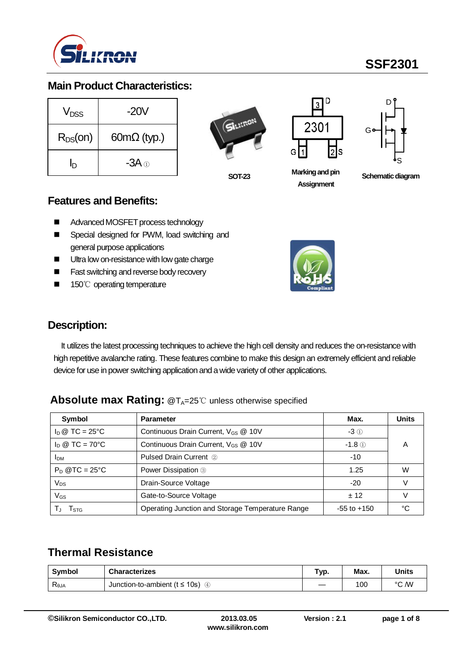

## **Main Product Characteristics:**

| V <sub>nss</sub> | -20V                    |
|------------------|-------------------------|
| $R_{DS}(on)$     | $60m\Omega$ (typ.)      |
| D                | -3A $\scriptstyle\odot$ |

**SOT-23**



**Marking and pin Assignment**



**Schematic diagram** 

#### **Features and Benefits:**

- Advanced MOSFET process technology
- Special designed for PWM, load switching and general purpose applications
- **Ultra low on-resistance with low gate charge**
- **Fast switching and reverse body recovery**
- 150℃ operating temperature



#### **Description:**

It utilizes the latest processing techniques to achieve the high cell density and reduces the on-resistance with high repetitive avalanche rating. These features combine to make this design an extremely efficient and reliable device for use in power switching application and a wide variety of other applications.

#### **Absolute max Rating: @TA=25℃ unless otherwise specified**

| Symbol                         | <b>Parameter</b>                                 | Max.            | <b>Units</b> |
|--------------------------------|--------------------------------------------------|-----------------|--------------|
| $I_D \otimes TC = 25^{\circ}C$ | Continuous Drain Current, V <sub>GS</sub> @ 10V  | $-3$ ①          |              |
| $I_D \otimes TC = 70^{\circ}C$ | Continuous Drain Current, V <sub>GS</sub> @ 10V  | $-1.8$ ①        |              |
| <b>IDM</b>                     | <b>Pulsed Drain Current 2</b>                    | $-10$           |              |
| $P_D$ @TC = 25°C               | Power Dissipation 3                              | 1.25            | W            |
| $V_{DS}$                       | Drain-Source Voltage                             | $-20$           |              |
| $V_{GS}$                       | Gate-to-Source Voltage                           | ± 12            |              |
| l stg                          | Operating Junction and Storage Temperature Range | $-55$ to $+150$ |              |

### **Thermal Resistance**

| Svmbol                            | <b>Characterizes</b>                     | Тур. | Max. | Units |
|-----------------------------------|------------------------------------------|------|------|-------|
| $\mathsf{R}_{\theta \mathsf{JA}}$ | Junction-to-ambient ( $t \le 10$ s)<br>④ |      | 100  | °C /W |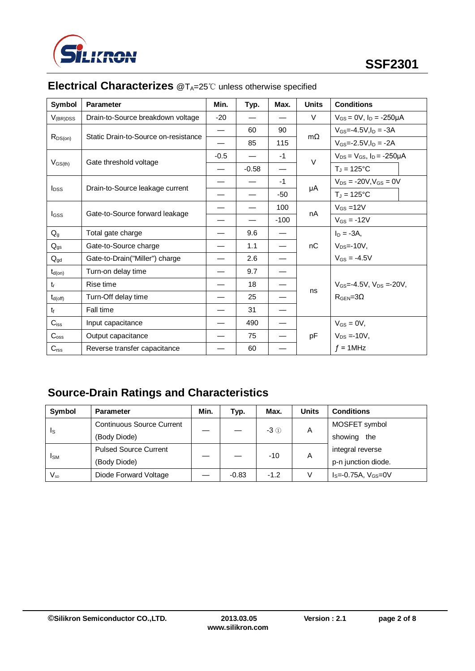

| Symbol                   | <b>Parameter</b>                               | Min.   | Typ.    | Max.   | <b>Units</b> | <b>Conditions</b>                      |
|--------------------------|------------------------------------------------|--------|---------|--------|--------------|----------------------------------------|
| $V_{(BR)DSS}$            | Drain-to-Source breakdown voltage              | $-20$  |         |        | $\vee$       | $V_{GS} = 0V$ , $I_D = -250\mu A$      |
|                          | Static Drain-to-Source on-resistance           |        | 60      | 90     |              | $V_{GS} = -4.5V, I_D = -3A$            |
| $R_{DS(on)}$             |                                                |        | 85      | 115    | $m\Omega$    | $V_{GS} = -2.5 V, I_D = -2A$           |
|                          |                                                | $-0.5$ |         | $-1$   | $\vee$       | $V_{DS} = V_{GS}$ , $I_D = -250 \mu A$ |
| $V_{GS(th)}$             | Gate threshold voltage                         |        | $-0.58$ |        |              | $T_J = 125$ °C                         |
|                          |                                                |        |         | $-1$   |              | $V_{DS} = -20V$ , $V_{GS} = 0V$        |
| I <sub>DSS</sub>         | Drain-to-Source leakage current                |        |         | $-50$  | μA           | $T_J = 125$ °C                         |
|                          | Gate-to-Source forward leakage<br><b>I</b> GSS |        |         | 100    | nA           | $V_{GS} = 12V$                         |
|                          |                                                |        |         | $-100$ |              | $V_{GS} = -12V$                        |
| $Q_{q}$                  | Total gate charge                              |        | 9.6     |        |              | $I_D = -3A$ ,                          |
| $\mathsf{Q}_{\text{gs}}$ | Gate-to-Source charge                          |        | 1.1     |        | nC           | $V_{DS} = -10V$ ,                      |
| $Q_{gd}$                 | Gate-to-Drain("Miller") charge                 |        | 2.6     |        |              | $V_{GS} = -4.5V$                       |
| $t_{d(on)}$              | Turn-on delay time                             |        | 9.7     |        |              |                                        |
| $t_{r}$                  | Rise time                                      |        | 18      |        |              | $V_{GS} = -4.5V$ . $V_{DS} = -20V$ .   |
| $t_{d(off)}$             | Turn-Off delay time                            |        | 25      |        | ns           | $R_{\text{GEN}} = 3\Omega$             |
| $t_{\rm f}$              | Fall time                                      |        | 31      |        |              |                                        |
| $C_{iss}$                | Input capacitance                              |        | 490     |        |              | $V_{GS} = 0V$ ,                        |
| $C_{\rm oss}$            | Output capacitance                             |        | 75      |        | pF           | $V_{DS} = -10V,$                       |
| $C_{\text{rss}}$         | Reverse transfer capacitance                   |        | 60      |        |              | $f = 1$ MHz                            |

# **Electrical Characterizes** @T<sub>A</sub>=25℃ unless otherwise specified

# **Source-Drain Ratings and Characteristics**

| Symbol                     | <b>Parameter</b>                 | Min. | Typ.    | Max.   | Units  | <b>Conditions</b>              |
|----------------------------|----------------------------------|------|---------|--------|--------|--------------------------------|
| Is                         | <b>Continuous Source Current</b> |      |         | $-3$ ① | A      | MOSFET symbol                  |
|                            | (Body Diode)                     |      |         |        |        | showing<br>the                 |
| <b>I</b> <sub>SM</sub>     | <b>Pulsed Source Current</b>     |      |         | $-10$  | A      | integral reverse               |
|                            | (Body Diode)                     |      |         |        |        | p-n junction diode.            |
| $\mathsf{V}_{\mathsf{sn}}$ | Diode Forward Voltage            |      | $-0.83$ | $-1.2$ | $\vee$ | $I_s = -0.75A$ , $V_{GS} = 0V$ |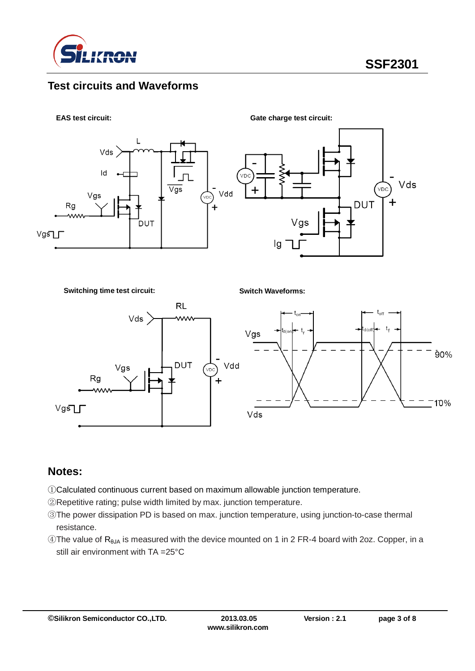

#### **Test circuits and Waveforms**



**Switching time test circuit:**

**Switch Waveforms:**



### **Notes:**

- ①Calculated continuous current based on maximum allowable junction temperature.
- ②Repetitive rating; pulse width limited by max. junction temperature.
- ③The power dissipation PD is based on max. junction temperature, using junction-to-case thermal resistance.
- $\circledA$ The value of R<sub>θJA</sub> is measured with the device mounted on 1 in 2 FR-4 board with 2oz. Copper, in a still air environment with TA =25°C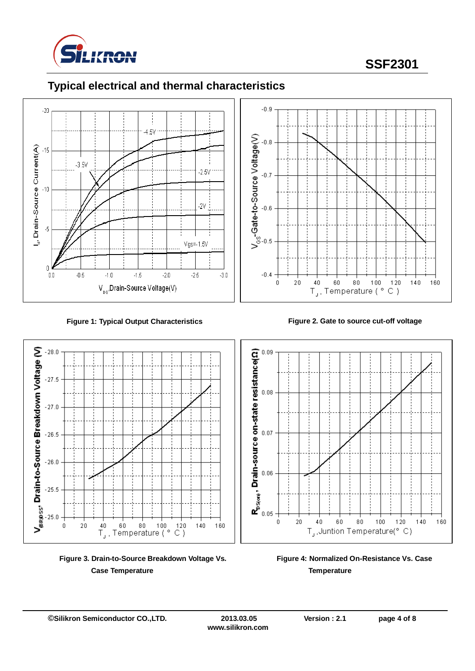

# **SSF2301**





**Figure 1: Typical Output Characteristics Figure 2. Gate to source cut-off voltage**



**Figure 3. Drain-to-Source Breakdown Voltage Vs. Case Temperature**





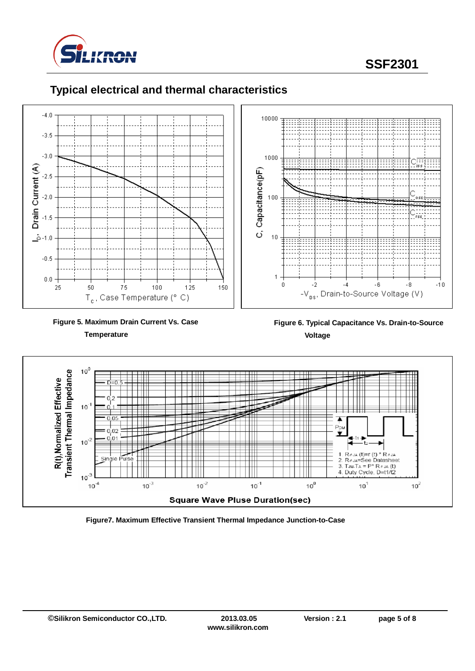

**SSF2301**



#### **Typical electrical and thermal characteristics**



 **Figure 6. Typical Capacitance Vs. Drain-to-Source Voltage**



**Figure7. Maximum Effective Transient Thermal Impedance Junction-to-Case**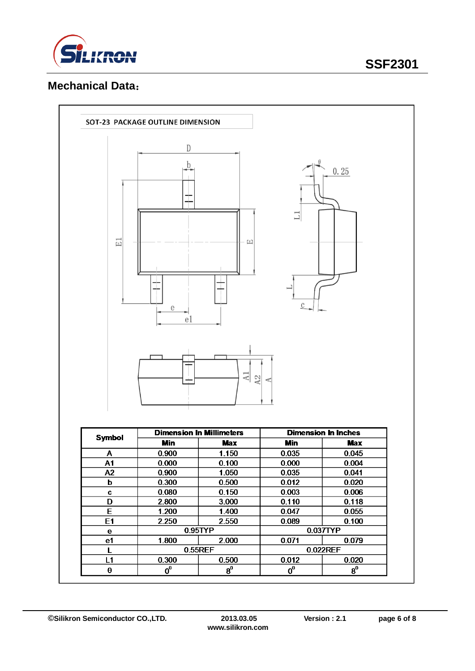

## **Mechanical Data**:

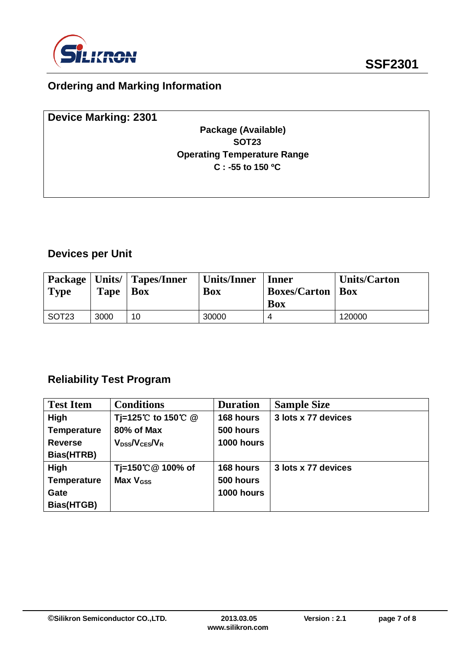

# **Ordering and Marking Information**

| <b>Device Marking: 2301</b> |                                    |  |
|-----------------------------|------------------------------------|--|
|                             | Package (Available)                |  |
|                             | <b>SOT23</b>                       |  |
|                             | <b>Operating Temperature Range</b> |  |
|                             | $C: -55$ to 150 °C                 |  |
|                             |                                    |  |
|                             |                                    |  |

## **Devices per Unit**

| <b>Type</b> | <b>Tape</b> | Package   Units/   Tapes/Inner<br><b>Box</b> | Units/Inner<br>Box | Inner<br><b>Boxes/Carton   Box</b><br><b>Box</b> | <b>Units/Carton</b> |
|-------------|-------------|----------------------------------------------|--------------------|--------------------------------------------------|---------------------|
| SOT23       | 3000        | 10                                           | 30000              | 4                                                | 120000              |

### **Reliability Test Program**

| <b>Test Item</b>   | <b>Conditions</b>                     | <b>Duration</b> | <b>Sample Size</b>  |
|--------------------|---------------------------------------|-----------------|---------------------|
| High               | Tj=125℃ to 150℃ @                     | 168 hours       | 3 lots x 77 devices |
| <b>Temperature</b> | 80% of Max                            | 500 hours       |                     |
| <b>Reverse</b>     | $V_{\text{DSS}}/V_{\text{CES}}/V_{R}$ | 1000 hours      |                     |
| Bias(HTRB)         |                                       |                 |                     |
| High               | Tj=150℃ @ 100% of                     | 168 hours       | 3 lots x 77 devices |
| <b>Temperature</b> | Max $V_{\text{GSS}}$                  | 500 hours       |                     |
| Gate               |                                       | 1000 hours      |                     |
| Bias(HTGB)         |                                       |                 |                     |